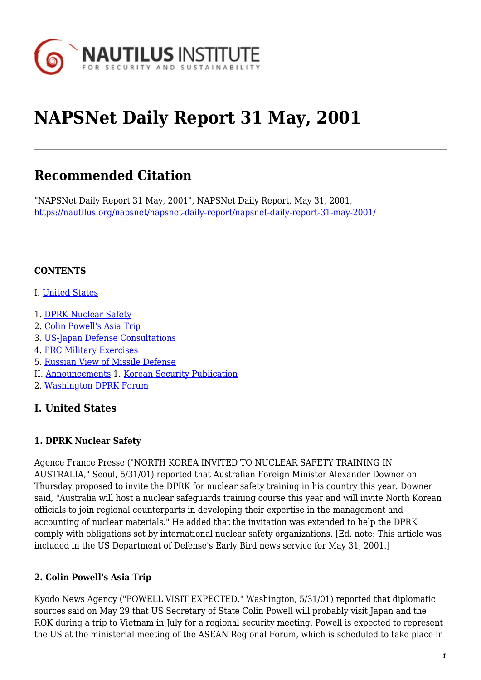

# **NAPSNet Daily Report 31 May, 2001**

# **Recommended Citation**

"NAPSNet Daily Report 31 May, 2001", NAPSNet Daily Report, May 31, 2001, <https://nautilus.org/napsnet/napsnet-daily-report/napsnet-daily-report-31-may-2001/>

### **CONTENTS**

- I. [United States](#page-0-0)
- 1. [DPRK Nuclear Safety](#page-0-1)
- 2. [Colin Powell's Asia Trip](#page-0-2)
- 3. [US-Japan Defense Consultations](#page-1-0)
- 4. [PRC Military Exercises](#page-1-1)
- 5. [Russian View of Missile Defense](#page-1-2)
- II. [Announcements](#page-1-3) 1. [Korean Security Publication](#page-2-0)
- 2. [Washington DPRK Forum](#page-2-1)

# <span id="page-0-0"></span>**I. United States**

#### <span id="page-0-1"></span>**1. DPRK Nuclear Safety**

Agence France Presse ("NORTH KOREA INVITED TO NUCLEAR SAFETY TRAINING IN AUSTRALIA," Seoul, 5/31/01) reported that Australian Foreign Minister Alexander Downer on Thursday proposed to invite the DPRK for nuclear safety training in his country this year. Downer said, "Australia will host a nuclear safeguards training course this year and will invite North Korean officials to join regional counterparts in developing their expertise in the management and accounting of nuclear materials." He added that the invitation was extended to help the DPRK comply with obligations set by international nuclear safety organizations. [Ed. note: This article was included in the US Department of Defense's Early Bird news service for May 31, 2001.]

#### <span id="page-0-2"></span>**2. Colin Powell's Asia Trip**

Kyodo News Agency ("POWELL VISIT EXPECTED," Washington, 5/31/01) reported that diplomatic sources said on May 29 that US Secretary of State Colin Powell will probably visit Japan and the ROK during a trip to Vietnam in July for a regional security meeting. Powell is expected to represent the US at the ministerial meeting of the ASEAN Regional Forum, which is scheduled to take place in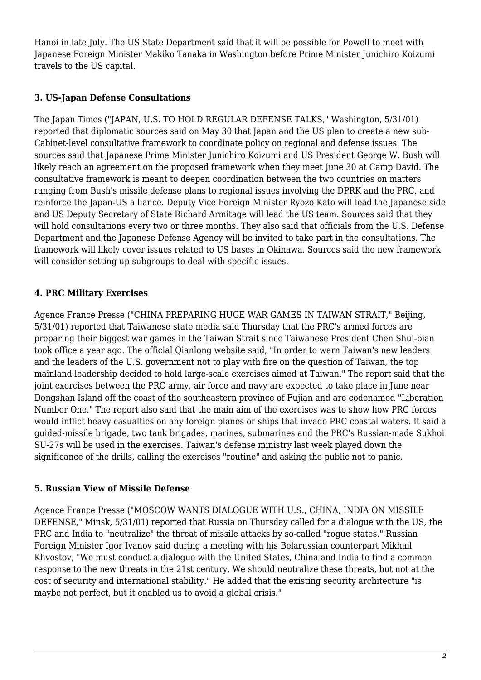Hanoi in late July. The US State Department said that it will be possible for Powell to meet with Japanese Foreign Minister Makiko Tanaka in Washington before Prime Minister Junichiro Koizumi travels to the US capital.

## <span id="page-1-0"></span>**3. US-Japan Defense Consultations**

The Japan Times ("JAPAN, U.S. TO HOLD REGULAR DEFENSE TALKS," Washington, 5/31/01) reported that diplomatic sources said on May 30 that Japan and the US plan to create a new sub-Cabinet-level consultative framework to coordinate policy on regional and defense issues. The sources said that Japanese Prime Minister Junichiro Koizumi and US President George W. Bush will likely reach an agreement on the proposed framework when they meet June 30 at Camp David. The consultative framework is meant to deepen coordination between the two countries on matters ranging from Bush's missile defense plans to regional issues involving the DPRK and the PRC, and reinforce the Japan-US alliance. Deputy Vice Foreign Minister Ryozo Kato will lead the Japanese side and US Deputy Secretary of State Richard Armitage will lead the US team. Sources said that they will hold consultations every two or three months. They also said that officials from the U.S. Defense Department and the Japanese Defense Agency will be invited to take part in the consultations. The framework will likely cover issues related to US bases in Okinawa. Sources said the new framework will consider setting up subgroups to deal with specific issues.

# <span id="page-1-1"></span>**4. PRC Military Exercises**

Agence France Presse ("CHINA PREPARING HUGE WAR GAMES IN TAIWAN STRAIT," Beijing, 5/31/01) reported that Taiwanese state media said Thursday that the PRC's armed forces are preparing their biggest war games in the Taiwan Strait since Taiwanese President Chen Shui-bian took office a year ago. The official Qianlong website said, "In order to warn Taiwan's new leaders and the leaders of the U.S. government not to play with fire on the question of Taiwan, the top mainland leadership decided to hold large-scale exercises aimed at Taiwan." The report said that the joint exercises between the PRC army, air force and navy are expected to take place in June near Dongshan Island off the coast of the southeastern province of Fujian and are codenamed "Liberation Number One." The report also said that the main aim of the exercises was to show how PRC forces would inflict heavy casualties on any foreign planes or ships that invade PRC coastal waters. It said a guided-missile brigade, two tank brigades, marines, submarines and the PRC's Russian-made Sukhoi SU-27s will be used in the exercises. Taiwan's defense ministry last week played down the significance of the drills, calling the exercises "routine" and asking the public not to panic.

#### <span id="page-1-2"></span>**5. Russian View of Missile Defense**

<span id="page-1-3"></span>Agence France Presse ("MOSCOW WANTS DIALOGUE WITH U.S., CHINA, INDIA ON MISSILE DEFENSE," Minsk, 5/31/01) reported that Russia on Thursday called for a dialogue with the US, the PRC and India to "neutralize" the threat of missile attacks by so-called "rogue states." Russian Foreign Minister Igor Ivanov said during a meeting with his Belarussian counterpart Mikhail Khvostov, "We must conduct a dialogue with the United States, China and India to find a common response to the new threats in the 21st century. We should neutralize these threats, but not at the cost of security and international stability." He added that the existing security architecture "is maybe not perfect, but it enabled us to avoid a global crisis."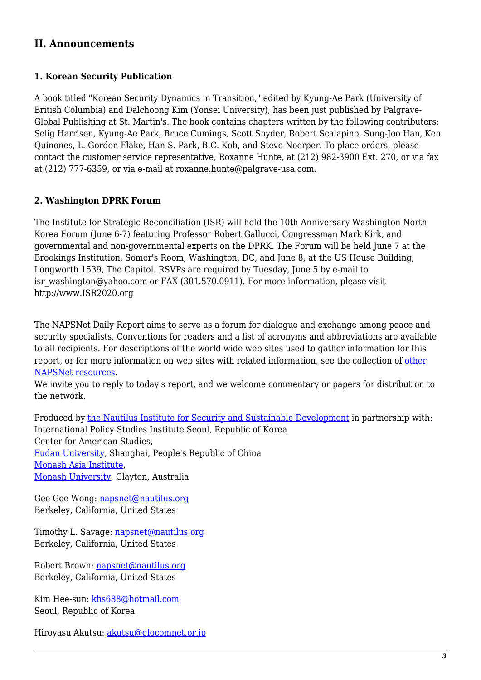# **II. Announcements**

#### <span id="page-2-0"></span>**1. Korean Security Publication**

A book titled "Korean Security Dynamics in Transition," edited by Kyung-Ae Park (University of British Columbia) and Dalchoong Kim (Yonsei University), has been just published by Palgrave-Global Publishing at St. Martin's. The book contains chapters written by the following contributers: Selig Harrison, Kyung-Ae Park, Bruce Cumings, Scott Snyder, Robert Scalapino, Sung-Joo Han, Ken Quinones, L. Gordon Flake, Han S. Park, B.C. Koh, and Steve Noerper. To place orders, please contact the customer service representative, Roxanne Hunte, at (212) 982-3900 Ext. 270, or via fax at (212) 777-6359, or via e-mail at roxanne.hunte@palgrave-usa.com.

#### <span id="page-2-1"></span>**2. Washington DPRK Forum**

The Institute for Strategic Reconciliation (ISR) will hold the 10th Anniversary Washington North Korea Forum (June 6-7) featuring Professor Robert Gallucci, Congressman Mark Kirk, and governmental and non-governmental experts on the DPRK. The Forum will be held June 7 at the Brookings Institution, Somer's Room, Washington, DC, and June 8, at the US House Building, Longworth 1539, The Capitol. RSVPs are required by Tuesday, June 5 by e-mail to isr\_washington@yahoo.com or FAX (301.570.0911). For more information, please visit http://www.ISR2020.org

The NAPSNet Daily Report aims to serve as a forum for dialogue and exchange among peace and security specialists. Conventions for readers and a list of acronyms and abbreviations are available to all recipients. For descriptions of the world wide web sites used to gather information for this report, or for more information on web sites with related information, see the collection of [other](http://nautilus.org/kiosk/weblinks.html) [NAPSNet resources.](http://nautilus.org/kiosk/weblinks.html)

We invite you to reply to today's report, and we welcome commentary or papers for distribution to the network.

Produced by [the Nautilus Institute for Security and Sustainable Development](http://nautilus.org/admin/about.html) in partnership with: International Policy Studies Institute Seoul, Republic of Korea Center for American Studies, [Fudan University](http://www.fudan.edu.cn/English/nsindex.html), Shanghai, People's Republic of China [Monash Asia Institute,](http://www.adm.monash.edu.au) [Monash University](http://www.monash.edu.au/), Clayton, Australia

Gee Gee Wong: [napsnet@nautilus.org](mailto:napsnet@nautilus.org) Berkeley, California, United States

Timothy L. Savage: [napsnet@nautilus.org](mailto:napsnet@nautilus.org) Berkeley, California, United States

Robert Brown: [napsnet@nautilus.org](mailto:napsnet@nautilus.org) Berkeley, California, United States

Kim Hee-sun: [khs688@hotmail.com](mailto:khs688@hotmail.com) Seoul, Republic of Korea

Hiroyasu Akutsu: [akutsu@glocomnet.or.jp](mailto:akutsu@glocomnet.or.jp)